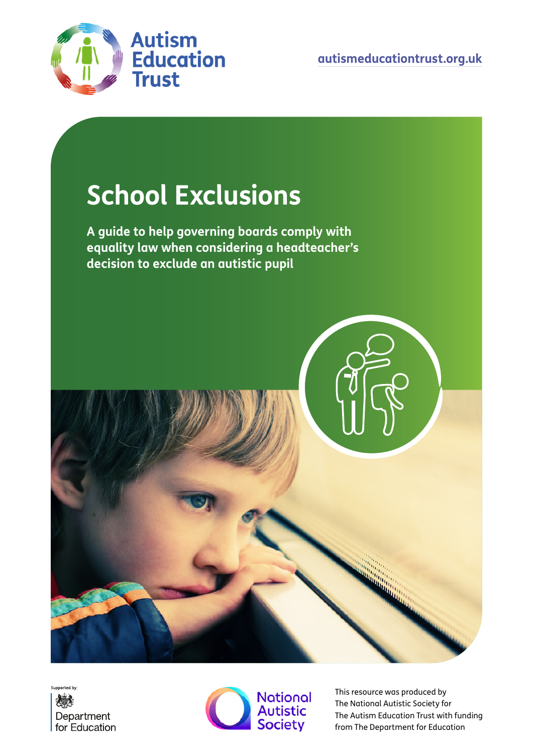

# **School Exclusions**

**A guide to help governing boards comply with equality law when considering a headteacher's decision to exclude an autistic pupil**







This resource was produced by The National Autistic Society for The Autism Education Trust with funding from The Department for Education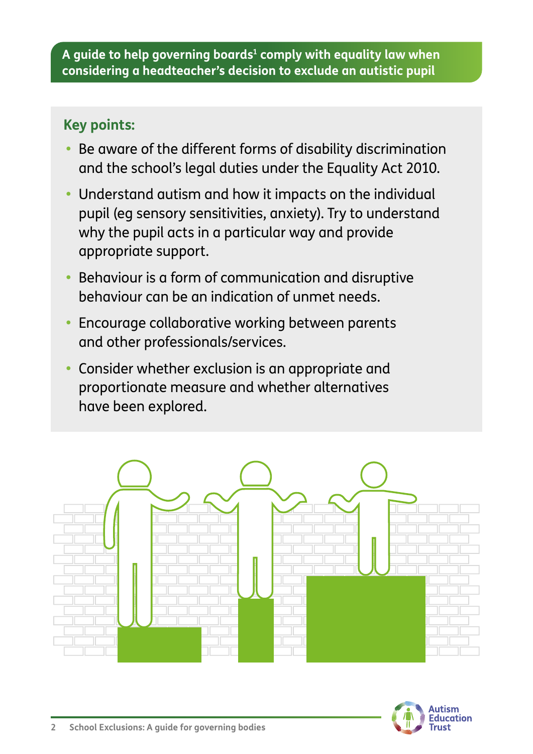### **Key points:**

- **•** Be aware of the different forms of disability discrimination and the school's legal duties under the Equality Act 2010.
- **•** Understand autism and how it impacts on the individual pupil (eg sensory sensitivities, anxiety). Try to understand why the pupil acts in a particular way and provide appropriate support.
- **•** Behaviour is a form of communication and disruptive behaviour can be an indication of unmet needs.
- **•** Encourage collaborative working between parents and other professionals/services.
- **•** Consider whether exclusion is an appropriate and proportionate measure and whether alternatives have been explored.



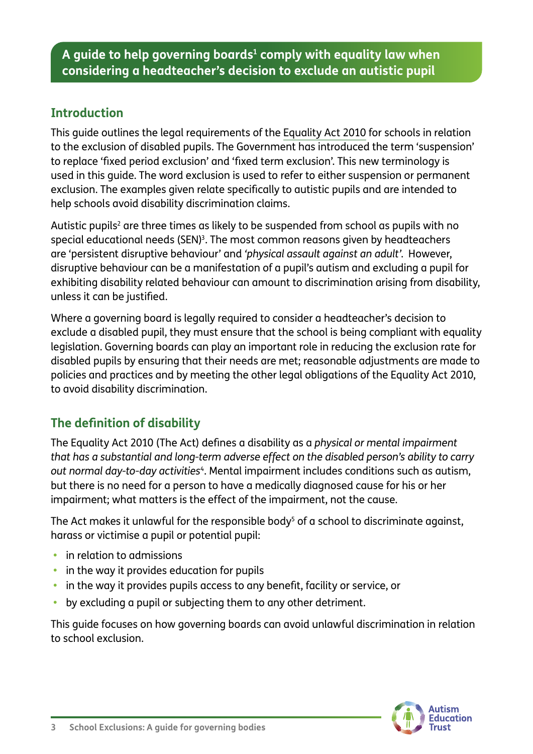#### **Introduction**

This guide outlines the legal requirements of the [Equality Act 2010](https://www.legislation.gov.uk/ukpga/2010/15/contents) for schools in relation to the exclusion of disabled pupils. The Government has introduced the term 'suspension' to replace 'fixed period exclusion' and 'fixed term exclusion'. This new terminology is used in this guide. The word exclusion is used to refer to either suspension or permanent exclusion. The examples given relate specifically to autistic pupils and are intended to help schools avoid disability discrimination claims.

Autistic pupils $^{\rm 2}$  are three times as likely to be suspended from school as pupils with no special educational needs (SEN) $^{\rm 3}$ . The most common reasons given by headteachers are 'persistent disruptive behaviour' and *'physical assault against an adult'*. However, disruptive behaviour can be a manifestation of a pupil's autism and excluding a pupil for exhibiting disability related behaviour can amount to discrimination arising from disability, unless it can be justified.

Where a governing board is legally required to consider a headteacher's decision to exclude a disabled pupil, they must ensure that the school is being compliant with equality legislation. Governing boards can play an important role in reducing the exclusion rate for disabled pupils by ensuring that their needs are met; reasonable adjustments are made to policies and practices and by meeting the other legal obligations of the Equality Act 2010, to avoid disability discrimination.

#### **The definition of disability**

The Equality Act 2010 (The Act) defines a disability as a *physical or mental impairment that has a substantial and long-term adverse effect on the disabled person's ability to carry out normal day-to-day activities*4. Mental impairment includes conditions such as autism, but there is no need for a person to have a medically diagnosed cause for his or her impairment; what matters is the effect of the impairment, not the cause.

The Act makes it unlawful for the responsible body $^5$  of a school to discriminate against, harass or victimise a pupil or potential pupil:

- **•** in relation to admissions
- **•** in the way it provides education for pupils
- **•** in the way it provides pupils access to any benefit, facility or service, or
- **•** by excluding a pupil or subjecting them to any other detriment.

This guide focuses on how governing boards can avoid unlawful discrimination in relation to school exclusion.

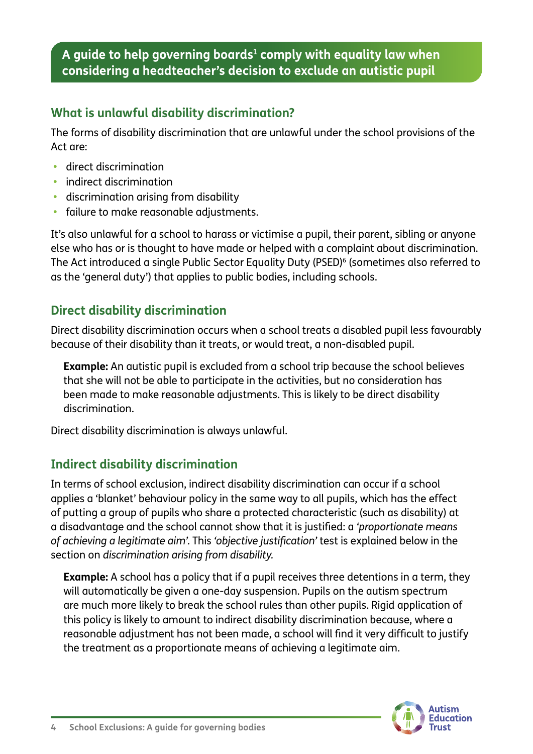#### **What is unlawful disability discrimination?**

The forms of disability discrimination that are unlawful under the school provisions of the Act are:

- **•** direct discrimination
- **•** indirect discrimination
- **•** discrimination arising from disability
- **•** failure to make reasonable adjustments.

It's also unlawful for a school to harass or victimise a pupil, their parent, sibling or anyone else who has or is thought to have made or helped with a complaint about discrimination. The Act introduced a single Public Sector Equality Duty (PSED)<sup>6</sup> (sometimes also referred to as the 'general duty') that applies to public bodies, including schools.

#### **Direct disability discrimination**

Direct disability discrimination occurs when a school treats a disabled pupil less favourably because of their disability than it treats, or would treat, a non-disabled pupil.

**Example:** An autistic pupil is excluded from a school trip because the school believes that she will not be able to participate in the activities, but no consideration has been made to make reasonable adjustments. This is likely to be direct disability discrimination.

Direct disability discrimination is always unlawful.

#### **Indirect disability discrimination**

In terms of school exclusion, indirect disability discrimination can occur if a school applies a 'blanket' behaviour policy in the same way to all pupils, which has the effect of putting a group of pupils who share a protected characteristic (such as disability) at a disadvantage and the school cannot show that it is justified: a *'proportionate means of achieving a legitimate aim'*. This *'objective justification'* test is explained below in the section on *discrimination arising from disability.*

**Example:** A school has a policy that if a pupil receives three detentions in a term, they will automatically be given a one-day suspension. Pupils on the autism spectrum are much more likely to break the school rules than other pupils. Rigid application of this policy is likely to amount to indirect disability discrimination because, where a reasonable adjustment has not been made, a school will find it very difficult to justify the treatment as a proportionate means of achieving a legitimate aim.

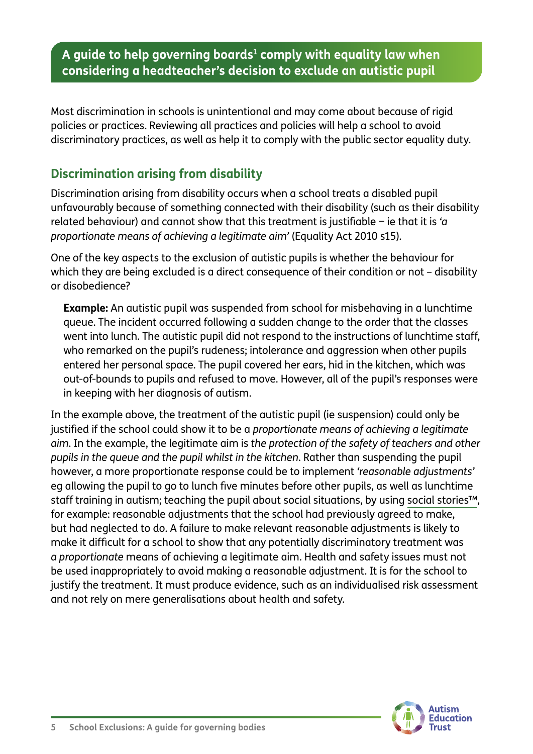Most discrimination in schools is unintentional and may come about because of rigid policies or practices. Reviewing all practices and policies will help a school to avoid discriminatory practices, as well as help it to comply with the public sector equality duty.

#### **Discrimination arising from disability**

Discrimination arising from disability occurs when a school treats a disabled pupil unfavourably because of something connected with their disability (such as their disability related behaviour) and cannot show that this treatment is justifiable − ie that it is *'a proportionate means of achieving a legitimate aim'* (Equality Act 2010 s15).

One of the key aspects to the exclusion of autistic pupils is whether the behaviour for which they are being excluded is a direct consequence of their condition or not - disability or disobedience?

**Example:** An autistic pupil was suspended from school for misbehaving in a lunchtime queue. The incident occurred following a sudden change to the order that the classes went into lunch. The autistic pupil did not respond to the instructions of lunchtime staff, who remarked on the pupil's rudeness; intolerance and aggression when other pupils entered her personal space. The pupil covered her ears, hid in the kitchen, which was out-of-bounds to pupils and refused to move. However, all of the pupil's responses were in keeping with her diagnosis of autism.

In the example above, the treatment of the autistic pupil (ie suspension) could only be justified if the school could show it to be a *proportionate means of achieving a legitimate aim*. In the example, the legitimate aim is *the protection of the safety of teachers and other pupils in the queue and the pupil whilst in the kitchen*. Rather than suspending the pupil however, a more proportionate response could be to implement *'reasonable adjustments'* eg allowing the pupil to go to lunch five minutes before other pupils, as well as lunchtime staff training in autism; teaching the pupil about social situations, by using [social stories™](https://www.autism.org.uk/advice-and-guidance/topics/communication/communication-tools/social-stories-and-comic-strip-coversations), for example: reasonable adjustments that the school had previously agreed to make, but had neglected to do. A failure to make relevant reasonable adjustments is likely to make it difficult for a school to show that any potentially discriminatory treatment was *a proportionate* means of achieving a legitimate aim. Health and safety issues must not be used inappropriately to avoid making a reasonable adjustment. It is for the school to justify the treatment. It must produce evidence, such as an individualised risk assessment and not rely on mere generalisations about health and safety.

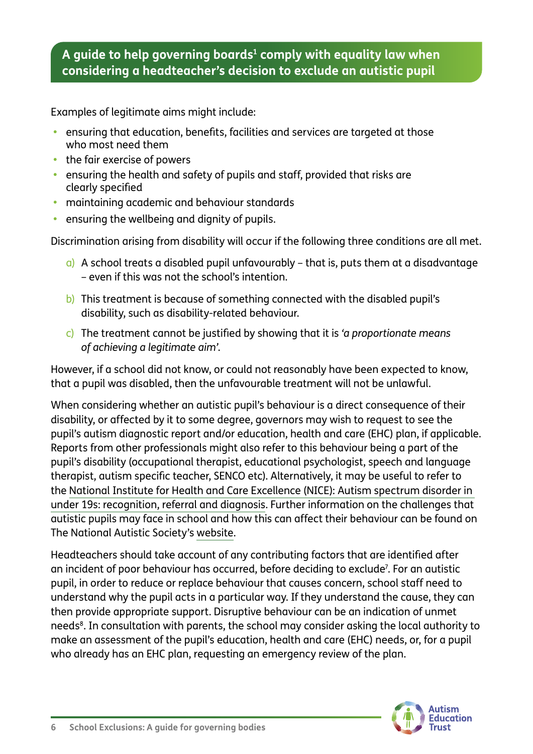Examples of legitimate aims might include:

- **•** ensuring that education, benefits, facilities and services are targeted at those who most need them
- **•** the fair exercise of powers
- **•** ensuring the health and safety of pupils and staff, provided that risks are clearly specified
- **•** maintaining academic and behaviour standards
- **•** ensuring the wellbeing and dignity of pupils.

Discrimination arising from disability will occur if the following three conditions are all met.

- $a)$  A school treats a disabled pupil unfavourably that is, puts them at a disadvantage – even if this was not the school's intention.
- b) This treatment is because of something connected with the disabled pupil's disability, such as disability-related behaviour.
- c) The treatment cannot be justified by showing that it is *'a proportionate means of achieving a legitimate aim'*.

However, if a school did not know, or could not reasonably have been expected to know, that a pupil was disabled, then the unfavourable treatment will not be unlawful.

When considering whether an autistic pupil's behaviour is a direct consequence of their disability, or affected by it to some degree, governors may wish to request to see the pupil's autism diagnostic report and/or education, health and care (EHC) plan, if applicable. Reports from other professionals might also refer to this behaviour being a part of the pupil's disability (occupational therapist, educational psychologist, speech and language therapist, autism specific teacher, SENCO etc). Alternatively, it may be useful to refer to the [National Institute for Health and Care Excellence \(NICE\): Autism spectrum disorder in](https://www.nice.org.uk/guidance/cg128/resources)  [under 19s: recognition, referral and diagnosis.](https://www.nice.org.uk/guidance/cg128/resources) Further information on the challenges that autistic pupils may face in school and how this can affect their behaviour can be found on The National Autistic Society's [website.](https://www.autism.org.uk/what-we-do/education-professionals)

Headteachers should take account of any contributing factors that are identified after an incident of poor behaviour has occurred, before deciding to exclude<sup>7</sup>. For an autistic pupil, in order to reduce or replace behaviour that causes concern, school staff need to understand why the pupil acts in a particular way. If they understand the cause, they can then provide appropriate support. Disruptive behaviour can be an indication of unmet needs<sup>8</sup>. In consultation with parents, the school may consider asking the local authority to make an assessment of the pupil's education, health and care (EHC) needs, or, for a pupil who already has an EHC plan, requesting an emergency review of the plan.

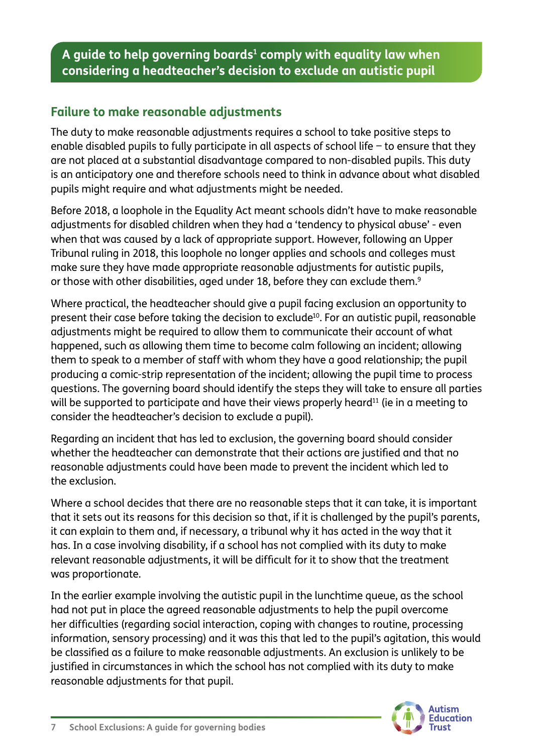#### **Failure to make reasonable adjustments**

The duty to make reasonable adjustments requires a school to take positive steps to enable disabled pupils to fully participate in all aspects of school life − to ensure that they are not placed at a substantial disadvantage compared to non-disabled pupils. This duty is an anticipatory one and therefore schools need to think in advance about what disabled pupils might require and what adjustments might be needed.

Before 2018, a loophole in the Equality Act meant schools didn't have to make reasonable adjustments for disabled children when they had a 'tendency to physical abuse' - even when that was caused by a lack of appropriate support. However, following an Upper Tribunal ruling in 2018, this loophole no longer applies and schools and colleges must make sure they have made appropriate reasonable adjustments for autistic pupils, or those with other disabilities, aged under 18, before they can exclude them.<sup>9</sup>

Where practical, the headteacher should give a pupil facing exclusion an opportunity to present their case before taking the decision to exclude<sup>10</sup>. For an autistic pupil, reasonable adjustments might be required to allow them to communicate their account of what happened, such as allowing them time to become calm following an incident; allowing them to speak to a member of staff with whom they have a good relationship; the pupil producing a comic-strip representation of the incident; allowing the pupil time to process questions. The governing board should identify the steps they will take to ensure all parties will be supported to participate and have their views properly heard<sup>11</sup> (ie in a meeting to consider the headteacher's decision to exclude a pupil).

Regarding an incident that has led to exclusion, the governing board should consider whether the headteacher can demonstrate that their actions are justified and that no reasonable adjustments could have been made to prevent the incident which led to the exclusion.

Where a school decides that there are no reasonable steps that it can take, it is important that it sets out its reasons for this decision so that, if it is challenged by the pupil's parents, it can explain to them and, if necessary, a tribunal why it has acted in the way that it has. In a case involving disability, if a school has not complied with its duty to make relevant reasonable adjustments, it will be difficult for it to show that the treatment was proportionate.

In the earlier example involving the autistic pupil in the lunchtime queue, as the school had not put in place the agreed reasonable adjustments to help the pupil overcome her difficulties (regarding social interaction, coping with changes to routine, processing information, sensory processing) and it was this that led to the pupil's agitation, this would be classified as a failure to make reasonable adjustments. An exclusion is unlikely to be justified in circumstances in which the school has not complied with its duty to make reasonable adjustments for that pupil.

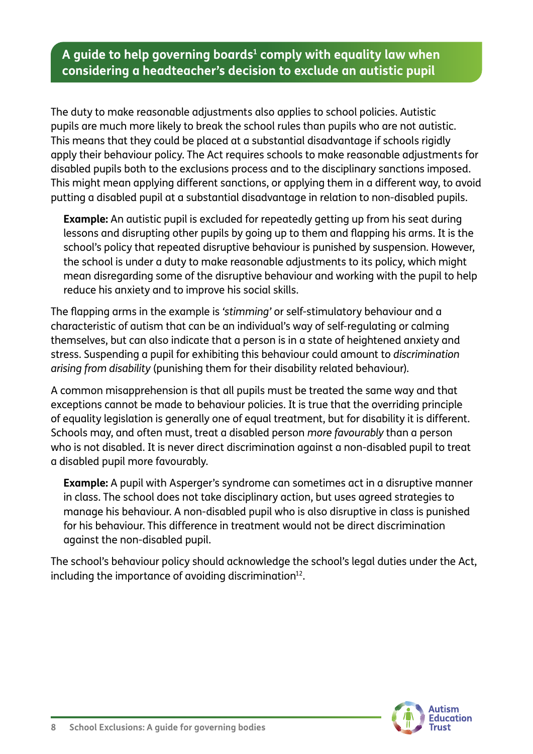The duty to make reasonable adjustments also applies to school policies. Autistic pupils are much more likely to break the school rules than pupils who are not autistic. This means that they could be placed at a substantial disadvantage if schools rigidly apply their behaviour policy. The Act requires schools to make reasonable adjustments for disabled pupils both to the exclusions process and to the disciplinary sanctions imposed. This might mean applying different sanctions, or applying them in a different way, to avoid putting a disabled pupil at a substantial disadvantage in relation to non-disabled pupils.

**Example:** An autistic pupil is excluded for repeatedly getting up from his seat during lessons and disrupting other pupils by going up to them and flapping his arms. It is the school's policy that repeated disruptive behaviour is punished by suspension. However, the school is under a duty to make reasonable adjustments to its policy, which might mean disregarding some of the disruptive behaviour and working with the pupil to help reduce his anxiety and to improve his social skills.

The flapping arms in the example is *'stimming'* or self-stimulatory behaviour and a characteristic of autism that can be an individual's way of self-regulating or calming themselves, but can also indicate that a person is in a state of heightened anxiety and stress. Suspending a pupil for exhibiting this behaviour could amount to *discrimination arising from disability* (punishing them for their disability related behaviour).

A common misapprehension is that all pupils must be treated the same way and that exceptions cannot be made to behaviour policies. It is true that the overriding principle of equality legislation is generally one of equal treatment, but for disability it is different. Schools may, and often must, treat a disabled person *more favourably* than a person who is not disabled. It is never direct discrimination against a non-disabled pupil to treat a disabled pupil more favourably.

**Example:** A pupil with Asperger's syndrome can sometimes act in a disruptive manner in class. The school does not take disciplinary action, but uses agreed strategies to manage his behaviour. A non-disabled pupil who is also disruptive in class is punished for his behaviour. This difference in treatment would not be direct discrimination against the non-disabled pupil.

The school's behaviour policy should acknowledge the school's legal duties under the Act, including the importance of avoiding discrimination<sup>12</sup>.

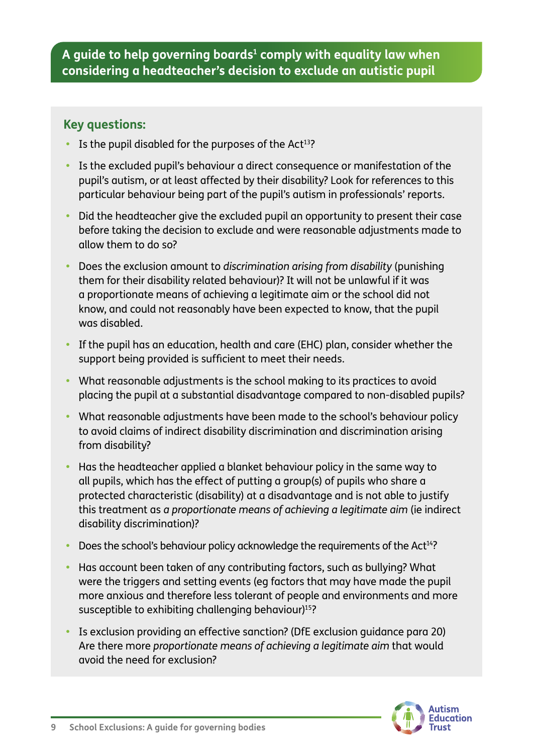#### **Key questions:**

- Is the pupil disabled for the purposes of the Act<sup>13</sup>?
- **•** Is the excluded pupil's behaviour a direct consequence or manifestation of the pupil's autism, or at least affected by their disability? Look for references to this particular behaviour being part of the pupil's autism in professionals' reports.
- **•** Did the headteacher give the excluded pupil an opportunity to present their case before taking the decision to exclude and were reasonable adjustments made to allow them to do so?
- **•** Does the exclusion amount to *discrimination arising from disability* (punishing them for their disability related behaviour)? It will not be unlawful if it was a proportionate means of achieving a legitimate aim or the school did not know, and could not reasonably have been expected to know, that the pupil was disabled.
- **•** If the pupil has an education, health and care (EHC) plan, consider whether the support being provided is sufficient to meet their needs.
- **•** What reasonable adjustments is the school making to its practices to avoid placing the pupil at a substantial disadvantage compared to non-disabled pupils?
- **•** What reasonable adjustments have been made to the school's behaviour policy to avoid claims of indirect disability discrimination and discrimination arising from disability?
- **•** Has the headteacher applied a blanket behaviour policy in the same way to all pupils, which has the effect of putting a group(s) of pupils who share a protected characteristic (disability) at a disadvantage and is not able to justify this treatment as *a proportionate means of achieving a legitimate aim* (ie indirect disability discrimination)?
- **Does the school's behaviour policy acknowledge the requirements of the Act<sup>14</sup>?**
- **•** Has account been taken of any contributing factors, such as bullying? What were the triggers and setting events (eg factors that may have made the pupil more anxious and therefore less tolerant of people and environments and more susceptible to exhibiting challenging behaviour)<sup>15</sup>?
- **•** Is exclusion providing an effective sanction? (DfE exclusion guidance para 20) Are there more *proportionate means of achieving a legitimate aim* that would avoid the need for exclusion?

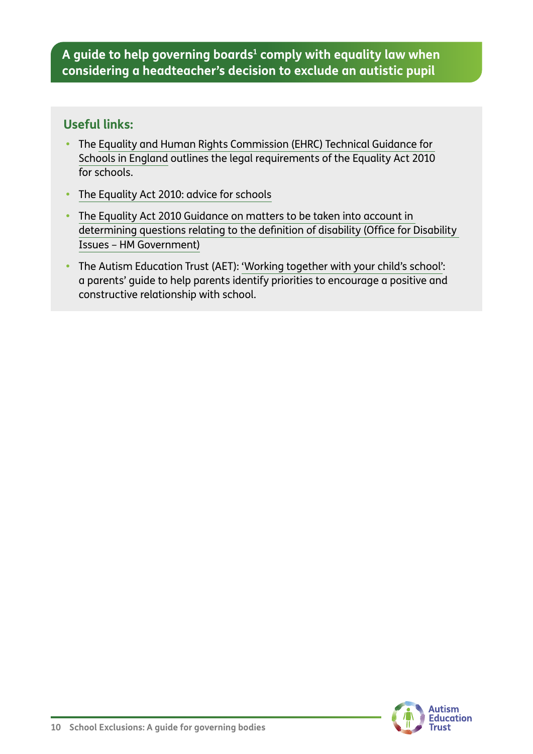#### **Useful links:**

- **•** The [Equality and Human Rights Commission \(EHRC\) Technical Guidance for](https://www.equalityhumanrights.com/en/publication-download/technical-guidance-schools-england)  [Schools in England](https://www.equalityhumanrights.com/en/publication-download/technical-guidance-schools-england) outlines the legal requirements of the Equality Act 2010 for schools.
- **•** [The Equality Act 2010: advice for schools](https://www.gov.uk/government/publications/equality-act-2010-advice-for-schools)
- **•** [The Equality Act 2010 Guidance on matters to be taken into account in](https://www.gov.uk/government/publications/equality-act-guidance)  [determining questions relating to the definition of disability \(Office for Disability](https://www.gov.uk/government/publications/equality-act-guidance)  [Issues – HM Government\)](https://www.gov.uk/government/publications/equality-act-guidance)
- **•** The Autism Education Trust (AET): ['Working together with your child's school':](https://www.autismeducationtrust.org.uk/shop/parents-guide/) a parents' guide to help parents identify priorities to encourage a positive and constructive relationship with school.

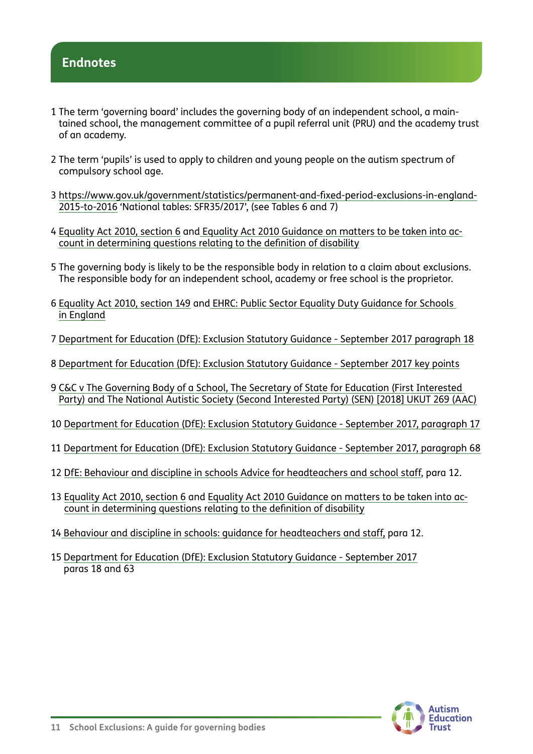#### **Endnotes**

- 1 The term 'governing board' includes the governing body of an independent school, a maintained school, the management committee of a pupil referral unit (PRU) and the academy trust of an academy.
- 2 The term 'pupils' is used to apply to children and young people on the autism spectrum of compulsory school age.
- 3 [https://www.gov.uk/government/statistics/permanent-and-fixed-period-exclusions-in-england-](https://www.gov.uk/government/statistics/permanent-and-fixed-period-exclusions-in-england-2015-to-2016)[2015-to-2016](https://www.gov.uk/government/statistics/permanent-and-fixed-period-exclusions-in-england-2015-to-2016) 'National tables: SFR35/2017', (see Tables 6 and 7)
- 4 [Equality Act 2010, section 6](https://www.legislation.gov.uk/ukpga/2010/15/section/6) and [Equality Act 2010 Guidance on matters to be taken into ac](https://www.gov.uk/government/publications/equality-act-guidance)[count in determining questions relating to the definition of disability](https://www.gov.uk/government/publications/equality-act-guidance)
- 5 The governing body is likely to be the responsible body in relation to a claim about exclusions. The responsible body for an independent school, academy or free school is the proprietor.
- 6 [Equality Act 2010, section 149](https://www.legislation.gov.uk/ukpga/2010/15/section/149) and [EHRC: Public Sector Equality Duty Guidance for Schools](https://www.equalityhumanrights.com/en/publication-download/public-sector-equality-duty-guidance-schools-england)  [in England](https://www.equalityhumanrights.com/en/publication-download/public-sector-equality-duty-guidance-schools-england)
- 7 [Department for Education \(DfE\): Exclusion Statutory Guidance September 2017 paragraph 18](https://www.gov.uk/government/publications/school-exclusion)
- 8 [Department for Education \(DfE\): Exclusion Statutory Guidance September 2017 key points](https://www.gov.uk/government/publications/school-exclusion)
- 9 [C&C v The Governing Body of a School, The Secretary of State for Education \(First Interested](https://www.gov.uk/administrative-appeals-tribunal-decisions/2018-ukut-269-aac-c-c-v-the-governing-body-of-a-school-the-secretary-of-state-for-education-first-interested-party-and-the-national-autistic-society-second-interested-party-sen)  [Party\) and The National Autistic Society \(Second Interested Party\) \(SEN\) \[2018\] UKUT 269 \(AAC\)](https://www.gov.uk/administrative-appeals-tribunal-decisions/2018-ukut-269-aac-c-c-v-the-governing-body-of-a-school-the-secretary-of-state-for-education-first-interested-party-and-the-national-autistic-society-second-interested-party-sen)
- 10 [Department for Education \(DfE\): Exclusion Statutory Guidance September 2017, paragraph 17](https://www.gov.uk/government/publications/school-exclusion)
- 11 [Department for Education \(DfE\): Exclusion Statutory Guidance September 2017, paragraph 68](https://www.gov.uk/government/publications/school-exclusion)
- 12 [DfE: Behaviour and discipline in schools Advice for headteachers and school staff](https://www.gov.uk/government/publications/behaviour-and-discipline-in-schools), para 12.
- 13 [Equality Act 2010, section 6](https://www.legislation.gov.uk/ukpga/2010/15/section/6) and [Equality Act 2010 Guidance on matters to be taken into ac](https://www.equalityhumanrights.com/en/publication-download/equality-act-2010-guidance-matters-be-taken-account-determining-questions)[count in determining questions relating to the definition of disability](https://www.equalityhumanrights.com/en/publication-download/equality-act-2010-guidance-matters-be-taken-account-determining-questions)
- 14 [Behaviour and discipline in schools: guidance for headteachers and staff,](https://www.gov.uk/government/publications/behaviour-and-discipline-in-schools) para 12.
- 15 [Department for Education \(DfE\): Exclusion Statutory Guidance September 2017](https://www.gov.uk/government/publications/school-exclusion) paras 18 and 63